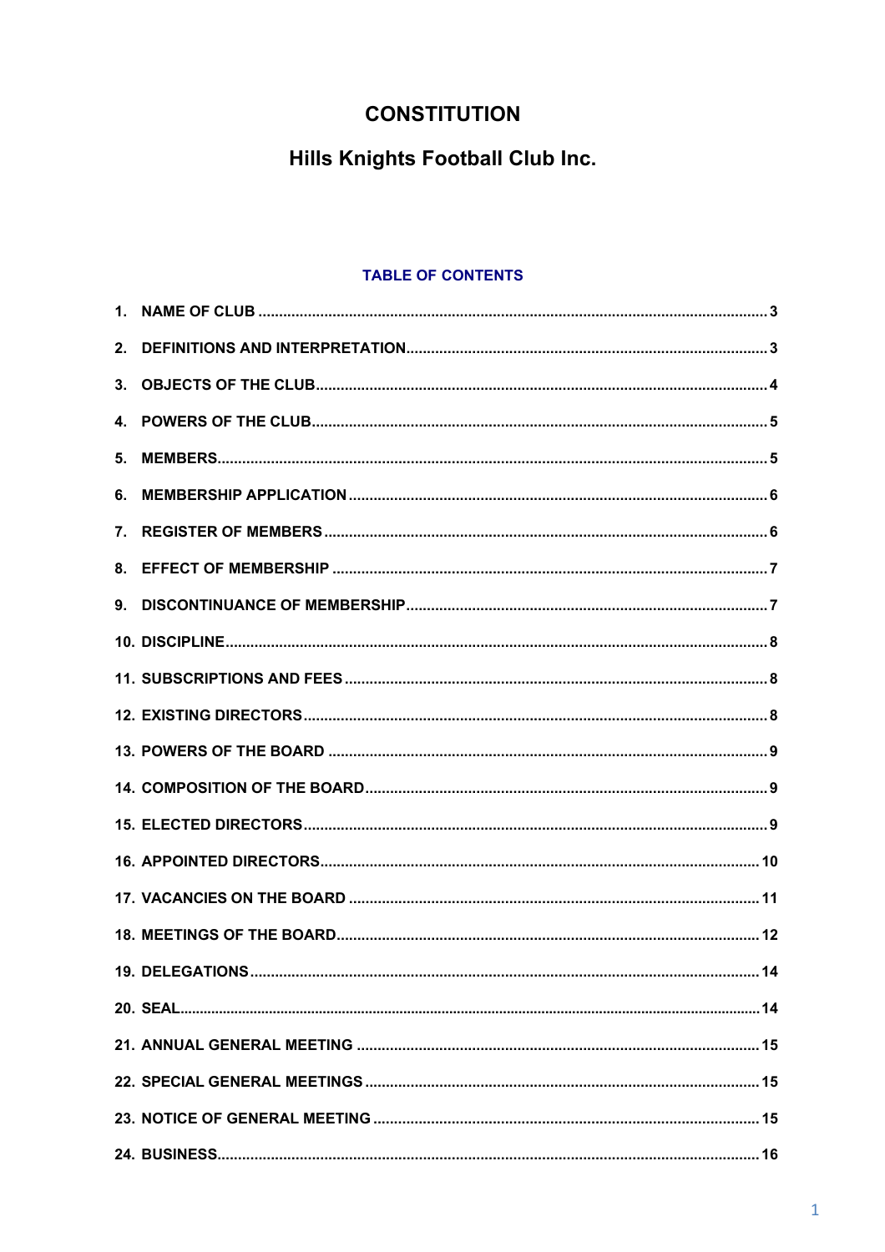# **CONSTITUTION**

# **Hills Knights Football Club Inc.**

## **TABLE OF CONTENTS**

| 2. |  |
|----|--|
| 3. |  |
|    |  |
| 5. |  |
| 6. |  |
|    |  |
|    |  |
|    |  |
|    |  |
|    |  |
|    |  |
|    |  |
|    |  |
|    |  |
|    |  |
|    |  |
|    |  |
|    |  |
|    |  |
|    |  |
|    |  |
|    |  |
|    |  |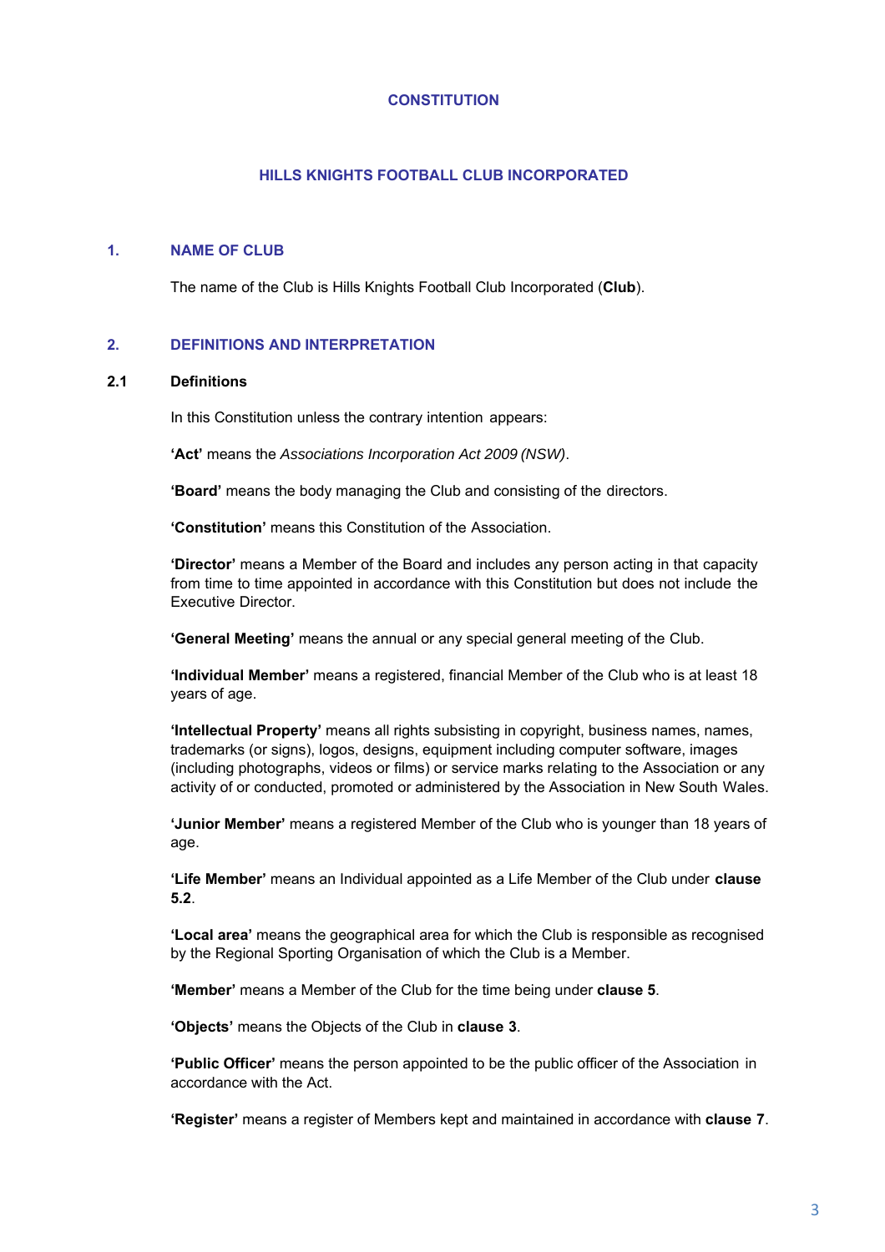#### **CONSTITUTION**

#### **HILLS KNIGHTS FOOTBALL CLUB INCORPORATED**

#### **1. NAME OF CLUB**

The name of the Club is Hills Knights Football Club Incorporated (**Club**).

#### **2. DEFINITIONS AND INTERPRETATION**

#### **2.1 Definitions**

In this Constitution unless the contrary intention appears:

**'Act'** means the *Associations Incorporation Act 2009 (NSW)*.

**'Board'** means the body managing the Club and consisting of the directors.

**'Constitution'** means this Constitution of the Association.

**'Director'** means a Member of the Board and includes any person acting in that capacity from time to time appointed in accordance with this Constitution but does not include the Executive Director.

**'General Meeting'** means the annual or any special general meeting of the Club.

**'Individual Member'** means a registered, financial Member of the Club who is at least 18 years of age.

**'Intellectual Property'** means all rights subsisting in copyright, business names, names, trademarks (or signs), logos, designs, equipment including computer software, images (including photographs, videos or films) or service marks relating to the Association or any activity of or conducted, promoted or administered by the Association in New South Wales.

**'Junior Member'** means a registered Member of the Club who is younger than 18 years of age.

**'Life Member'** means an Individual appointed as a Life Member of the Club under **clause 5.2**.

**'Local area'** means the geographical area for which the Club is responsible as recognised by the Regional Sporting Organisation of which the Club is a Member.

**'Member'** means a Member of the Club for the time being under **clause 5**.

**'Objects'** means the Objects of the Club in **clause 3**.

**'Public Officer'** means the person appointed to be the public officer of the Association in accordance with the Act.

**'Register'** means a register of Members kept and maintained in accordance with **clause 7**.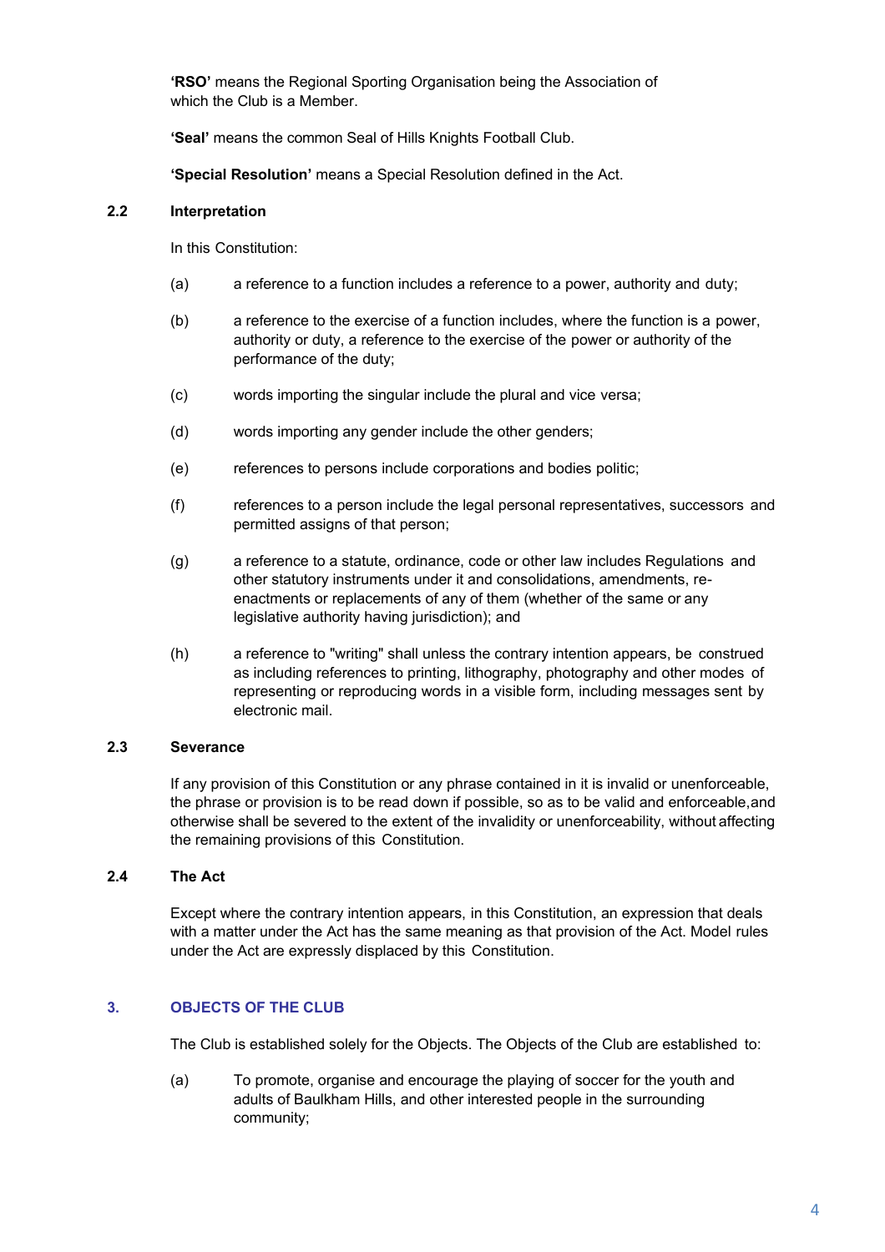**'RSO'** means the Regional Sporting Organisation being the Association of which the Club is a Member.

**'Seal'** means the common Seal of Hills Knights Football Club.

**'Special Resolution'** means a Special Resolution defined in the Act.

## **2.2 Interpretation**

In this Constitution:

- (a) a reference to a function includes a reference to a power, authority and duty;
- (b) a reference to the exercise of a function includes, where the function is a power, authority or duty, a reference to the exercise of the power or authority of the performance of the duty;
- (c) words importing the singular include the plural and vice versa;
- (d) words importing any gender include the other genders;
- (e) references to persons include corporations and bodies politic;
- (f) references to a person include the legal personal representatives, successors and permitted assigns of that person;
- (g) a reference to a statute, ordinance, code or other law includes Regulations and other statutory instruments under it and consolidations, amendments, reenactments or replacements of any of them (whether of the same or any legislative authority having jurisdiction); and
- (h) a reference to "writing" shall unless the contrary intention appears, be construed as including references to printing, lithography, photography and other modes of representing or reproducing words in a visible form, including messages sent by electronic mail.

#### **2.3 Severance**

If any provision of this Constitution or any phrase contained in it is invalid or unenforceable, the phrase or provision is to be read down if possible, so as to be valid and enforceable, and otherwise shall be severed to the extent of the invalidity or unenforceability, without affecting the remaining provisions of this Constitution.

#### **2.4 The Act**

Except where the contrary intention appears, in this Constitution, an expression that deals with a matter under the Act has the same meaning as that provision of the Act. Model rules under the Act are expressly displaced by this Constitution.

#### **3. OBJECTS OF THE CLUB**

The Club is established solely for the Objects. The Objects of the Club are established to:

(a) To promote, organise and encourage the playing of soccer for the youth and adults of Baulkham Hills, and other interested people in the surrounding community;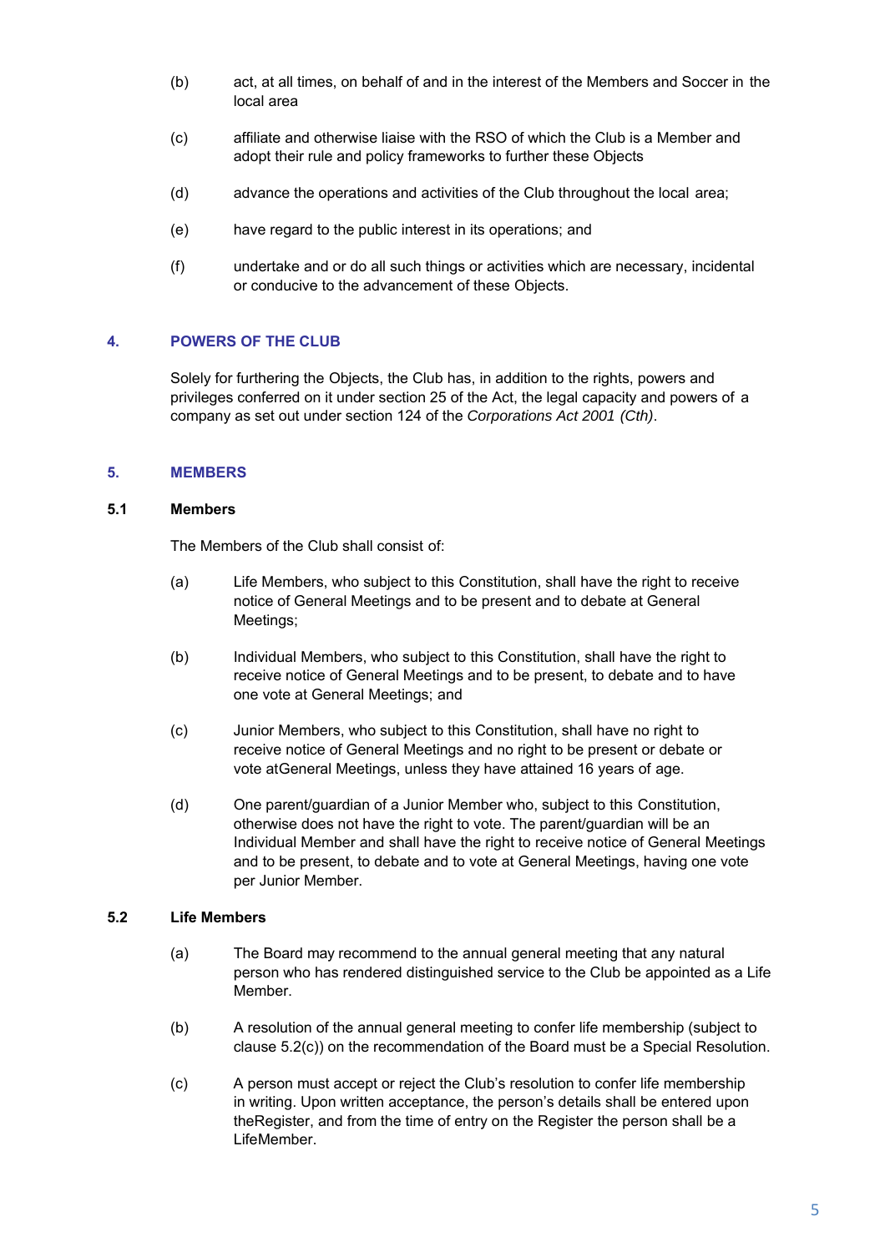- (b) act, at all times, on behalf of and in the interest of the Members and Soccer in the local area
- (c) affiliate and otherwise liaise with the RSO of which the Club is a Member and adopt their rule and policy frameworks to further these Objects
- (d) advance the operations and activities of the Club throughout the local area;
- (e) have regard to the public interest in its operations; and
- (f) undertake and or do all such things or activities which are necessary, incidental or conducive to the advancement of these Objects.

#### **4. POWERS OF THE CLUB**

Solely for furthering the Objects, the Club has, in addition to the rights, powers and privileges conferred on it under section 25 of the Act, the legal capacity and powers of a company as set out under section 124 of the *Corporations Act 2001 (Cth)*.

#### **5. MEMBERS**

#### **5.1 Members**

The Members of the Club shall consist of:

- (a) Life Members, who subject to this Constitution, shall have the right to receive notice of General Meetings and to be present and to debate at General Meetings;
- (b) Individual Members, who subject to this Constitution, shall have the right to receive notice of General Meetings and to be present, to debate and to have one vote at General Meetings; and
- (c) Junior Members, who subject to this Constitution, shall have no right to receive notice of General Meetings and no right to be present or debate or vote at General Meetings, unless they have attained 16 years of age.
- (d) One parent/guardian of a Junior Member who, subject to this Constitution, otherwise does not have the right to vote. The parent/guardian will be an Individual Member and shall have the right to receive notice of General Meetings and to be present, to debate and to vote at General Meetings, having one vote per Junior Member.

#### **5.2 Life Members**

- (a) The Board may recommend to the annual general meeting that any natural person who has rendered distinguished service to the Club be appointed as a Life Member.
- (b) A resolution of the annual general meeting to confer life membership (subject to clause 5.2(c)) on the recommendation of the Board must be a Special Resolution.
- (c) A person must accept or reject the Club's resolution to confer life membership in writing. Upon written acceptance, the person's details shall be entered upon the Register, and from the time of entry on the Register the person shall be a Life Member.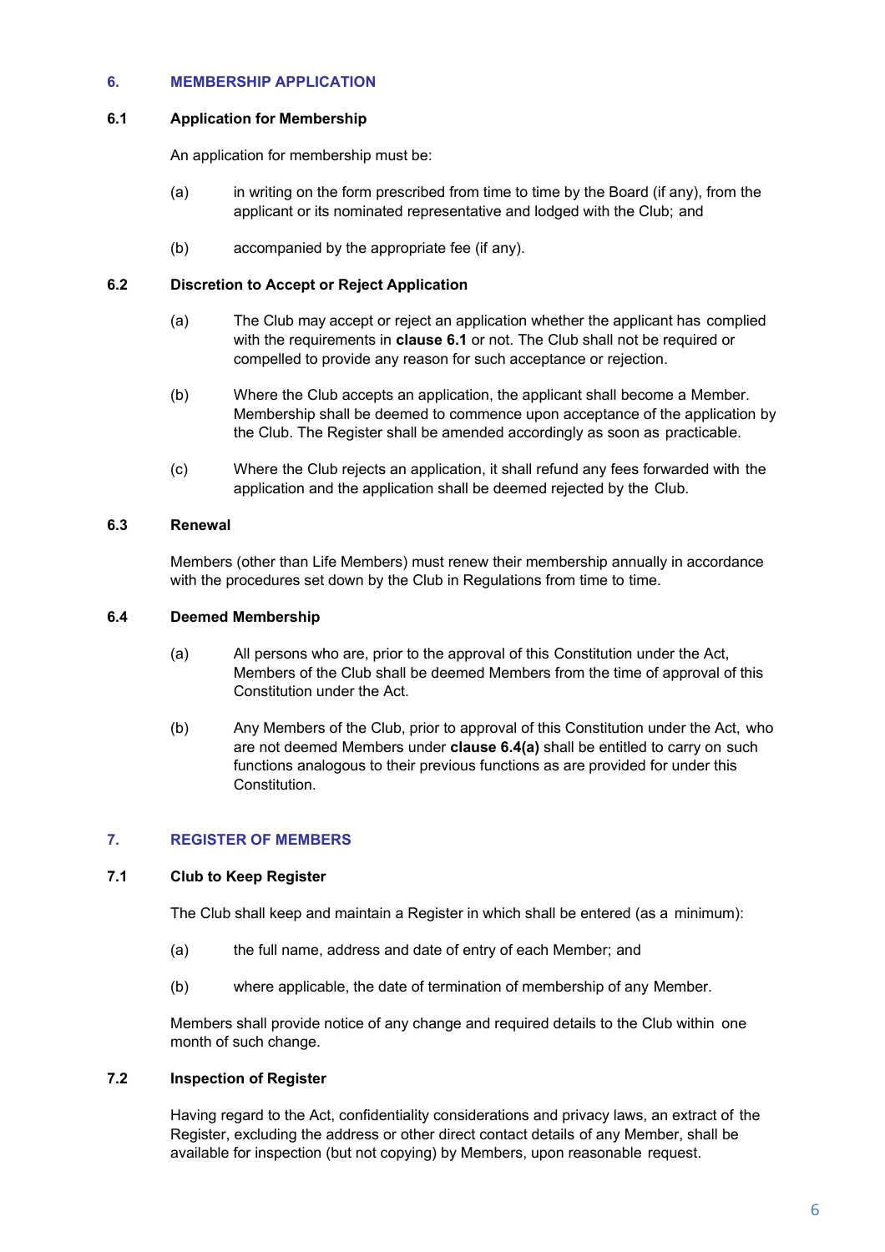## **6. MEMBERSHIP APPLICATION**

## **6.1 Application for Membership**

An application for membership must be:

- (a) in writing on the form prescribed from time to time by the Board (if any), from the applicant or its nominated representative and lodged with the Club; and
- (b) accompanied by the appropriate fee (if any).

## **6.2 Discretion to Accept or Reject Application**

- (a) The Club may accept or reject an application whether the applicant has complied with the requirements in **clause 6.1** or not. The Club shall not be required or compelled to provide any reason for such acceptance or rejection.
- (b) Where the Club accepts an application, the applicant shall become a Member. Membership shall be deemed to commence upon acceptance of the application by the Club. The Register shall be amended accordingly as soon as practicable.
- (c) Where the Club rejects an application, it shall refund any fees forwarded with the application and the application shall be deemed rejected by the Club.

## **6.3 Renewal**

Members (other than Life Members) must renew their membership annually in accordance with the procedures set down by the Club in Regulations from time to time.

#### **6.4 Deemed Membership**

- (a) All persons who are, prior to the approval of this Constitution under the Act, Members of the Club shall be deemed Members from the time of approval of this Constitution under the Act.
- (b) Any Members of the Club, prior to approval of this Constitution under the Act, who are not deemed Members under **clause 6.4(a)** shall be entitled to carry on such functions analogous to their previous functions as are provided for under this Constitution.

#### **7. REGISTER OF MEMBERS**

#### **7.1 Club to Keep Register**

The Club shall keep and maintain a Register in which shall be entered (as a minimum):

- (a) the full name, address and date of entry of each Member; and
- (b) where applicable, the date of termination of membership of any Member.

Members shall provide notice of any change and required details to the Club within one month of such change.

#### **7.2 Inspection of Register**

Having regard to the Act, confidentiality considerations and privacy laws, an extract of the Register, excluding the address or other direct contact details of any Member, shall be available for inspection (but not copying) by Members, upon reasonable request.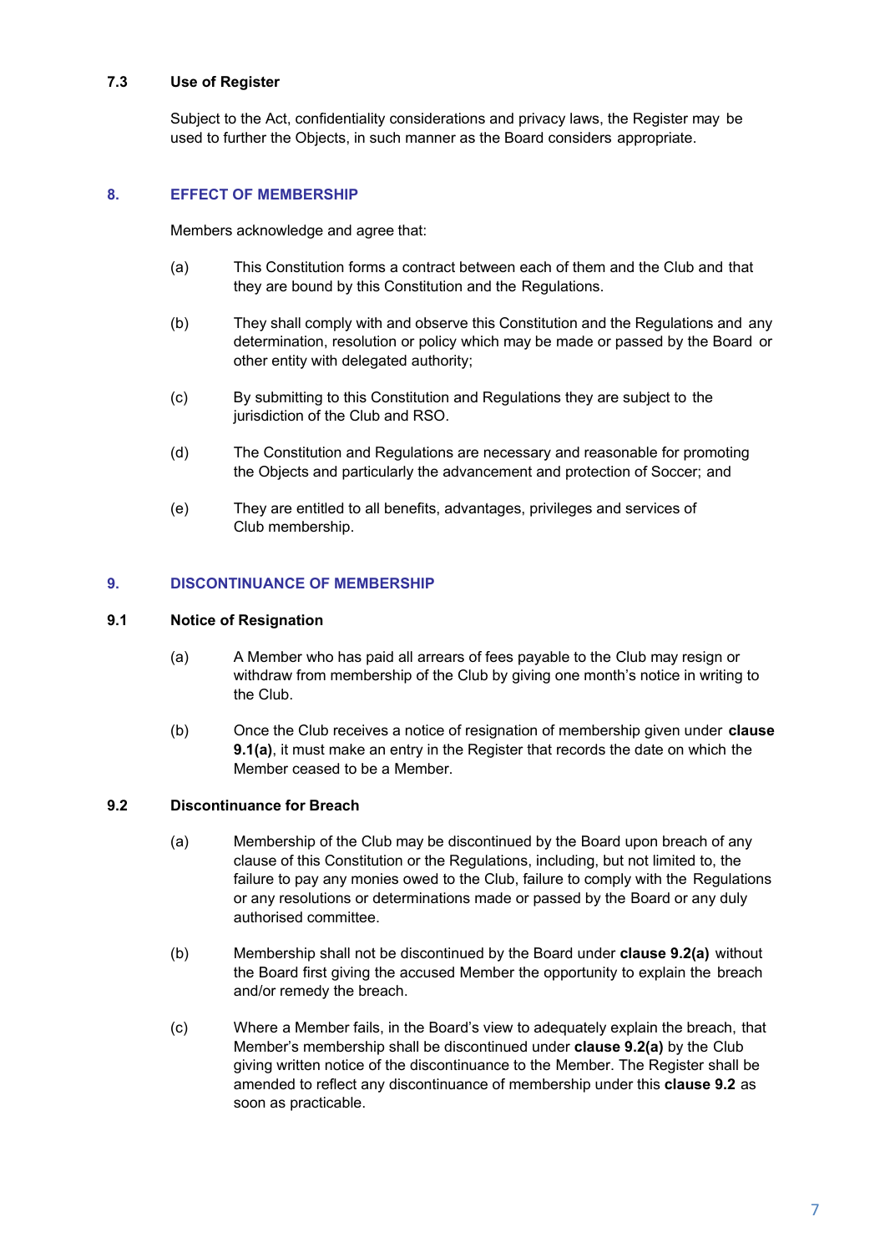## **7.3 Use of Register**

Subject to the Act, confidentiality considerations and privacy laws, the Register may be used to further the Objects, in such manner as the Board considers appropriate.

## **8. EFFECT OF MEMBERSHIP**

Members acknowledge and agree that:

- (a) This Constitution forms a contract between each of them and the Club and that they are bound by this Constitution and the Regulations.
- (b) They shall comply with and observe this Constitution and the Regulations and any determination, resolution or policy which may be made or passed by the Board or other entity with delegated authority;
- (c) By submitting to this Constitution and Regulations they are subject to the jurisdiction of the Club and RSO.
- (d) The Constitution and Regulations are necessary and reasonable for promoting the Objects and particularly the advancement and protection of Soccer; and
- (e) They are entitled to all benefits, advantages, privileges and services of Club membership.

#### **9. DISCONTINUANCE OF MEMBERSHIP**

#### **9.1 Notice of Resignation**

- (a) A Member who has paid all arrears of fees payable to the Club may resign or withdraw from membership of the Club by giving one month's notice in writing to the Club.
- (b) Once the Club receives a notice of resignation of membership given under **clause 9.1(a)**, it must make an entry in the Register that records the date on which the Member ceased to be a Member.

#### **9.2 Discontinuance for Breach**

- (a) Membership of the Club may be discontinued by the Board upon breach of any clause of this Constitution or the Regulations, including, but not limited to, the failure to pay any monies owed to the Club, failure to comply with the Regulations or any resolutions or determinations made or passed by the Board or any duly authorised committee.
- (b) Membership shall not be discontinued by the Board under **clause 9.2(a)** without the Board first giving the accused Member the opportunity to explain the breach and/or remedy the breach.
- (c) Where a Member fails, in the Board's view to adequately explain the breach, that Member's membership shall be discontinued under **clause 9.2(a)** by the Club giving written notice of the discontinuance to the Member. The Register shall be amended to reflect any discontinuance of membership under this **clause 9.2** as soon as practicable.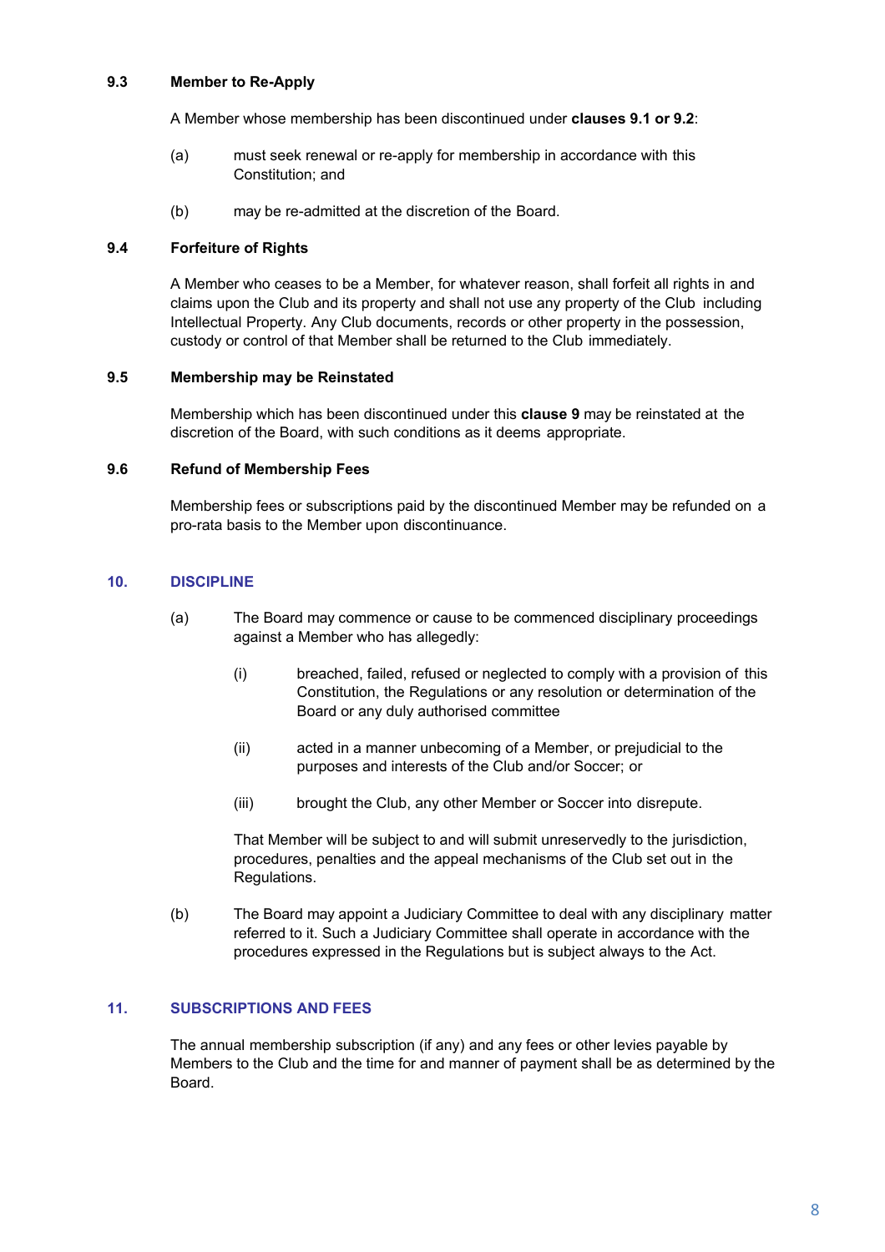## **9.3 Member to Re-Apply**

A Member whose membership has been discontinued under **clauses 9.1 or 9.2**:

- (a) must seek renewal or re-apply for membership in accordance with this Constitution; and
- (b) may be re-admitted at the discretion of the Board.

#### **9.4 Forfeiture of Rights**

A Member who ceases to be a Member, for whatever reason, shall forfeit all rights in and claims upon the Club and its property and shall not use any property of the Club including Intellectual Property. Any Club documents, records or other property in the possession, custody or control of that Member shall be returned to the Club immediately.

#### **9.5 Membership may be Reinstated**

Membership which has been discontinued under this **clause 9** may be reinstated at the discretion of the Board, with such conditions as it deems appropriate.

#### **9.6 Refund of Membership Fees**

Membership fees or subscriptions paid by the discontinued Member may be refunded on a pro-rata basis to the Member upon discontinuance.

#### **10. DISCIPLINE**

- (a) The Board may commence or cause to be commenced disciplinary proceedings against a Member who has allegedly:
	- (i) breached, failed, refused or neglected to comply with a provision of this Constitution, the Regulations or any resolution or determination of the Board or any duly authorised committee
	- (ii) acted in a manner unbecoming of a Member, or prejudicial to the purposes and interests of the Club and/or Soccer; or
	- (iii) brought the Club, any other Member or Soccer into disrepute.

That Member will be subject to and will submit unreservedly to the jurisdiction, procedures, penalties and the appeal mechanisms of the Club set out in the Regulations.

(b) The Board may appoint a Judiciary Committee to deal with any disciplinary matter referred to it. Such a Judiciary Committee shall operate in accordance with the procedures expressed in the Regulations but is subject always to the Act.

#### **11. SUBSCRIPTIONS AND FEES**

The annual membership subscription (if any) and any fees or other levies payable by Members to the Club and the time for and manner of payment shall be as determined by the Board.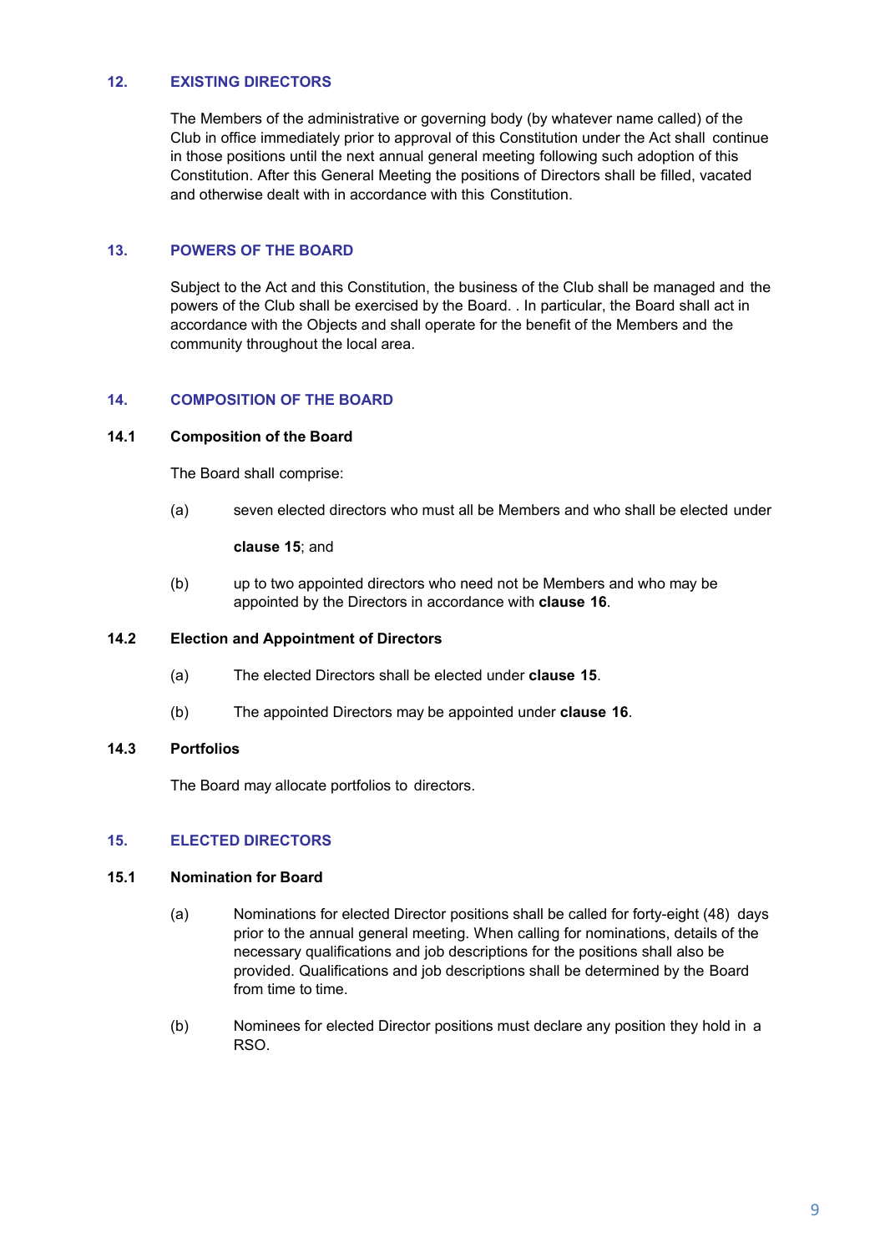## **12. EXISTING DIRECTORS**

The Members of the administrative or governing body (by whatever name called) of the Club in office immediately prior to approval of this Constitution under the Act shall continue in those positions until the next annual general meeting following such adoption of this Constitution. After this General Meeting the positions of Directors shall be filled, vacated and otherwise dealt with in accordance with this Constitution.

#### **13. POWERS OF THE BOARD**

Subject to the Act and this Constitution, the business of the Club shall be managed and the powers of the Club shall be exercised by the Board. . In particular, the Board shall act in accordance with the Objects and shall operate for the benefit of the Members and the community throughout the local area.

## **14. COMPOSITION OF THE BOARD**

#### **14.1 Composition of the Board**

The Board shall comprise:

(a) seven elected directors who must all be Members and who shall be elected under

**clause 15**; and

(b) up to two appointed directors who need not be Members and who may be appointed by the Directors in accordance with **clause 16**.

#### **14.2 Election and Appointment of Directors**

- (a) The elected Directors shall be elected under **clause 15**.
- (b) The appointed Directors may be appointed under **clause 16**.

#### **14.3 Portfolios**

The Board may allocate portfolios to directors.

## **15. ELECTED DIRECTORS**

#### **15.1 Nomination for Board**

- (a) Nominations for elected Director positions shall be called for forty-eight (48) days prior to the annual general meeting. When calling for nominations, details of the necessary qualifications and job descriptions for the positions shall also be provided. Qualifications and job descriptions shall be determined by the Board from time to time.
- (b) Nominees for elected Director positions must declare any position they hold in a RSO.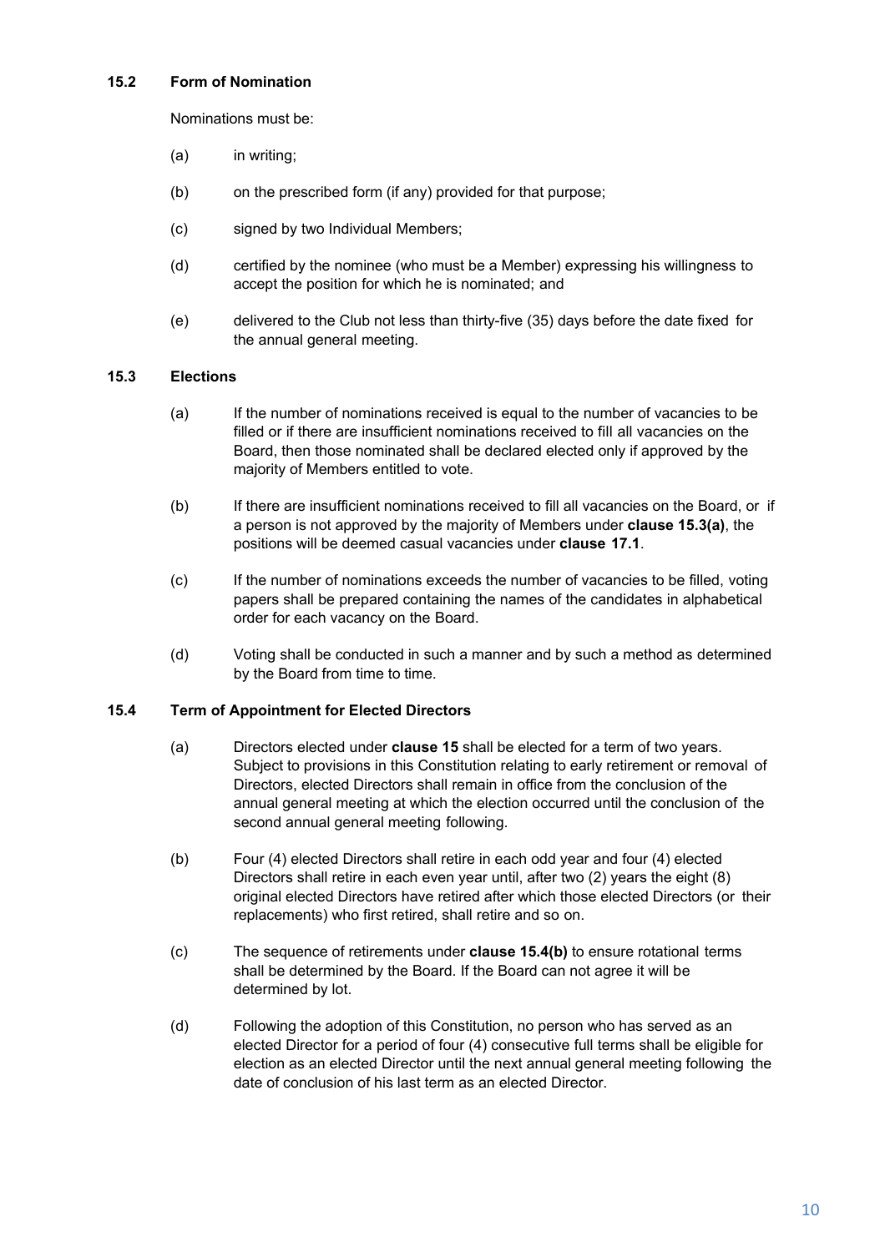## **15.2 Form of Nomination**

Nominations must be:

- (a) in writing;
- (b) on the prescribed form (if any) provided for that purpose;
- (c) signed by two Individual Members;
- (d) certified by the nominee (who must be a Member) expressing his willingness to accept the position for which he is nominated; and
- (e) delivered to the Club not less than thirty-five (35) days before the date fixed for the annual general meeting.

## **15.3 Elections**

- (a) If the number of nominations received is equal to the number of vacancies to be filled or if there are insufficient nominations received to fill all vacancies on the Board, then those nominated shall be declared elected only if approved by the majority of Members entitled to vote.
- (b) If there are insufficient nominations received to fill all vacancies on the Board, or if a person is not approved by the majority of Members under **clause 15.3(a)**, the positions will be deemed casual vacancies under **clause 17.1**.
- (c) If the number of nominations exceeds the number of vacancies to be filled, voting papers shall be prepared containing the names of the candidates in alphabetical order for each vacancy on the Board.
- (d) Voting shall be conducted in such a manner and by such a method as determined by the Board from time to time.

#### **15.4 Term of Appointment for Elected Directors**

- (a) Directors elected under **clause 15** shall be elected for a term of two years. Subject to provisions in this Constitution relating to early retirement or removal of Directors, elected Directors shall remain in office from the conclusion of the annual general meeting at which the election occurred until the conclusion of the second annual general meeting following.
- (b) Four (4) elected Directors shall retire in each odd year and four (4) elected Directors shall retire in each even year until, after two (2) years the eight (8) original elected Directors have retired after which those elected Directors (or their replacements) who first retired, shall retire and so on.
- (c) The sequence of retirements under **clause 15.4(b)** to ensure rotational terms shall be determined by the Board. If the Board can not agree it will be determined by lot.
- (d) Following the adoption of this Constitution, no person who has served as an elected Director for a period of four (4) consecutive full terms shall be eligible for election as an elected Director until the next annual general meeting following the date of conclusion of his last term as an elected Director.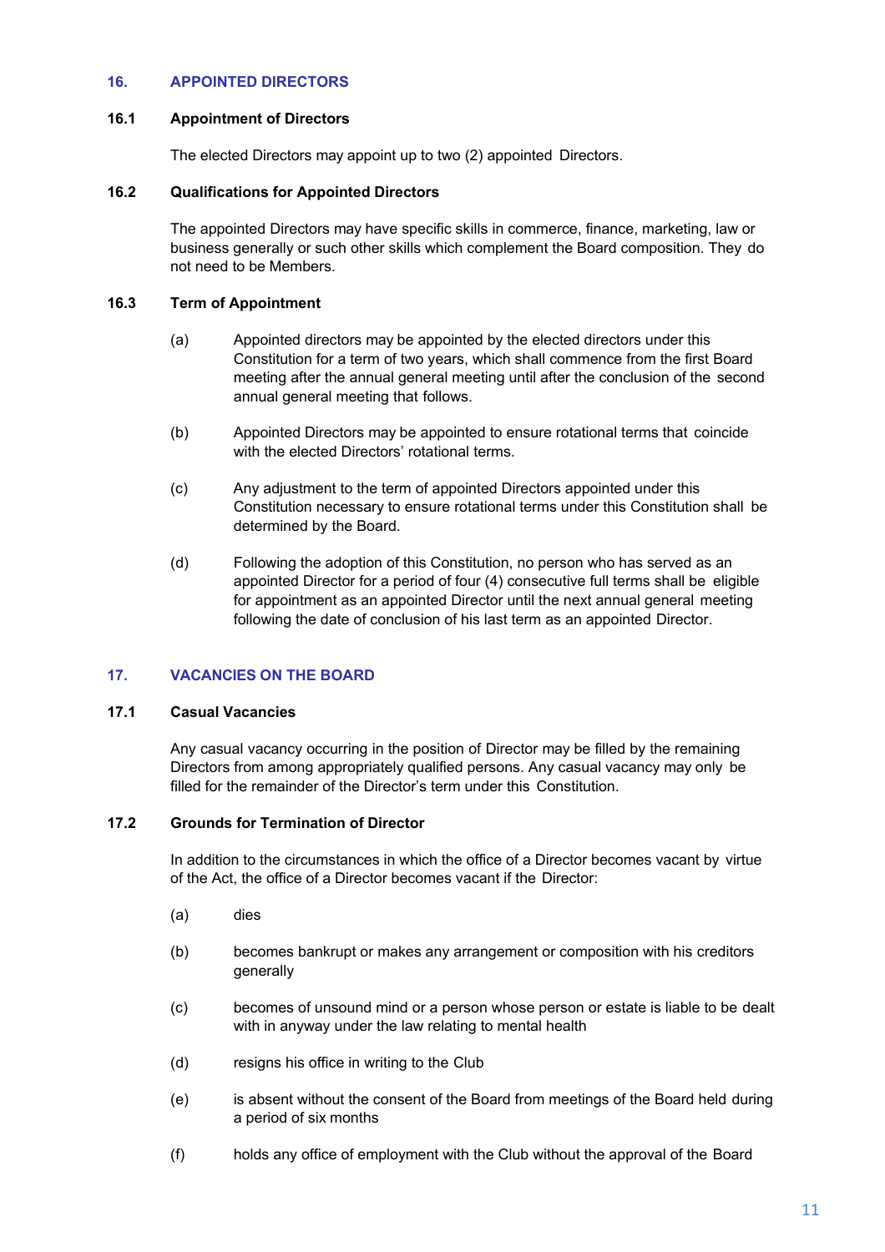## **16. APPOINTED DIRECTORS**

#### **16.1 Appointment of Directors**

The elected Directors may appoint up to two (2) appointed Directors.

#### **16.2 Qualifications for Appointed Directors**

The appointed Directors may have specific skills in commerce, finance, marketing, law or business generally or such other skills which complement the Board composition. They do not need to be Members.

#### **16.3 Term of Appointment**

- (a) Appointed directors may be appointed by the elected directors under this Constitution for a term of two years, which shall commence from the first Board meeting after the annual general meeting until after the conclusion of the second annual general meeting that follows.
- (b) Appointed Directors may be appointed to ensure rotational terms that coincide with the elected Directors' rotational terms.
- (c) Any adjustment to the term of appointed Directors appointed under this Constitution necessary to ensure rotational terms under this Constitution shall be determined by the Board.
- (d) Following the adoption of this Constitution, no person who has served as an appointed Director for a period of four (4) consecutive full terms shall be eligible for appointment as an appointed Director until the next annual general meeting following the date of conclusion of his last term as an appointed Director.

## **17. VACANCIES ON THE BOARD**

#### **17.1 Casual Vacancies**

Any casual vacancy occurring in the position of Director may be filled by the remaining Directors from among appropriately qualified persons. Any casual vacancy may only be filled for the remainder of the Director's term under this Constitution.

#### **17.2 Grounds for Termination of Director**

In addition to the circumstances in which the office of a Director becomes vacant by virtue of the Act, the office of a Director becomes vacant if the Director:

- (a) dies
- (b) becomes bankrupt or makes any arrangement or composition with his creditors generally
- (c) becomes of unsound mind or a person whose person or estate is liable to be dealt with in anyway under the law relating to mental health
- (d) resigns his office in writing to the Club
- (e) is absent without the consent of the Board from meetings of the Board held during a period of six months
- (f) holds any office of employment with the Club without the approval of the Board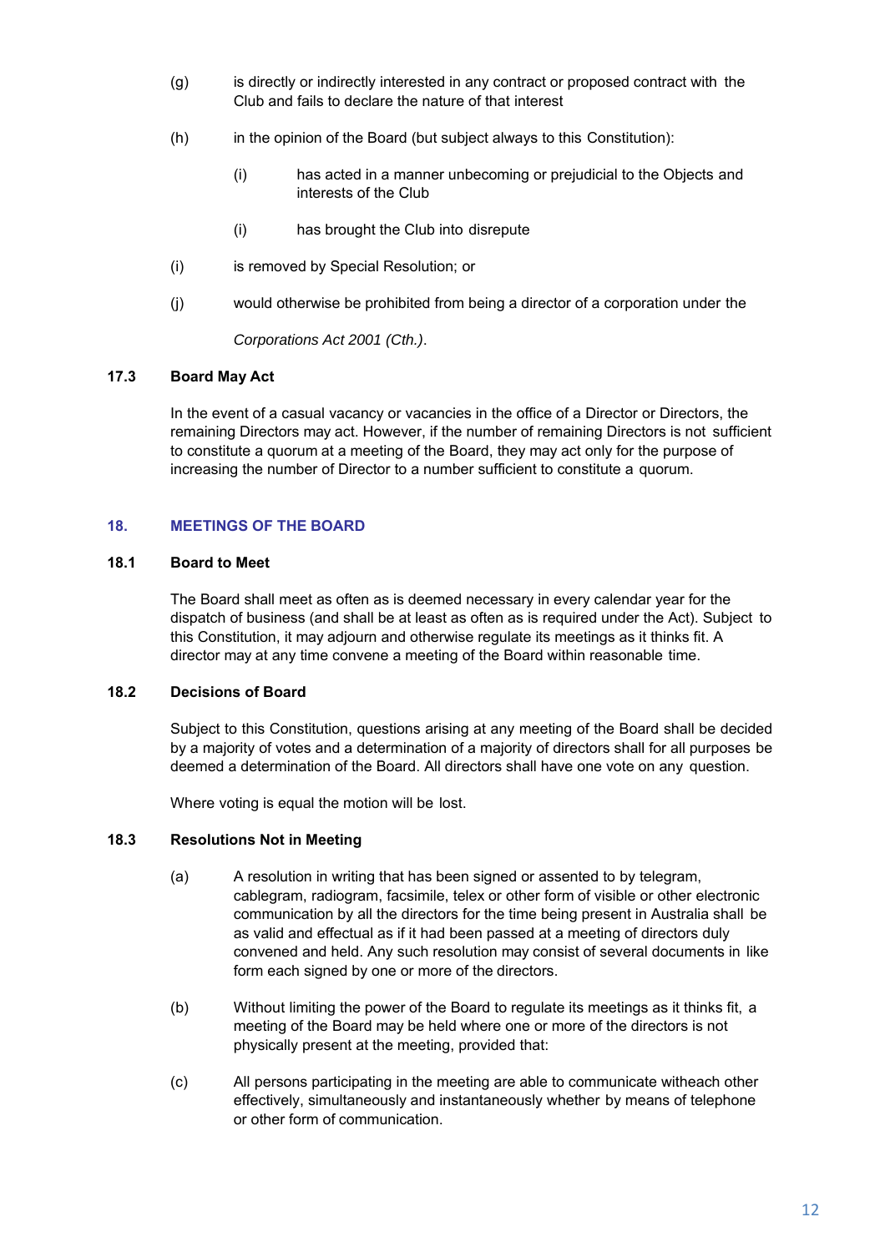- (g) is directly or indirectly interested in any contract or proposed contract with the Club and fails to declare the nature of that interest
- (h) in the opinion of the Board (but subject always to this Constitution):
	- (i) has acted in a manner unbecoming or prejudicial to the Objects and interests of the Club
	- (i) has brought the Club into disrepute
- (i) is removed by Special Resolution; or
- (j) would otherwise be prohibited from being a director of a corporation under the

*Corporations Act 2001 (Cth.)*.

#### **17.3 Board May Act**

In the event of a casual vacancy or vacancies in the office of a Director or Directors, the remaining Directors may act. However, if the number of remaining Directors is not sufficient to constitute a quorum at a meeting of the Board, they may act only for the purpose of increasing the number of Director to a number sufficient to constitute a quorum.

#### **18. MEETINGS OF THE BOARD**

## **18.1 Board to Meet**

The Board shall meet as often as is deemed necessary in every calendar year for the dispatch of business (and shall be at least as often as is required under the Act). Subject to this Constitution, it may adjourn and otherwise regulate its meetings as it thinks fit. A director may at any time convene a meeting of the Board within reasonable time.

#### **18.2 Decisions of Board**

Subject to this Constitution, questions arising at any meeting of the Board shall be decided by a majority of votes and a determination of a majority of directors shall for all purposes be deemed a determination of the Board. All directors shall have one vote on any question.

Where voting is equal the motion will be lost.

#### **18.3 Resolutions Not in Meeting**

- (a) A resolution in writing that has been signed or assented to by telegram, cablegram, radiogram, facsimile, telex or other form of visible or other electronic communication by all the directors for the time being present in Australia shall be as valid and effectual as if it had been passed at a meeting of directors duly convened and held. Any such resolution may consist of several documents in like form each signed by one or more of the directors.
- (b) Without limiting the power of the Board to regulate its meetings as it thinks fit, a meeting of the Board may be held where one or more of the directors is not physically present at the meeting, provided that:
- (c) All persons participating in the meeting are able to communicate with each other effectively, simultaneously and instantaneously whether by means of telephone or other form of communication.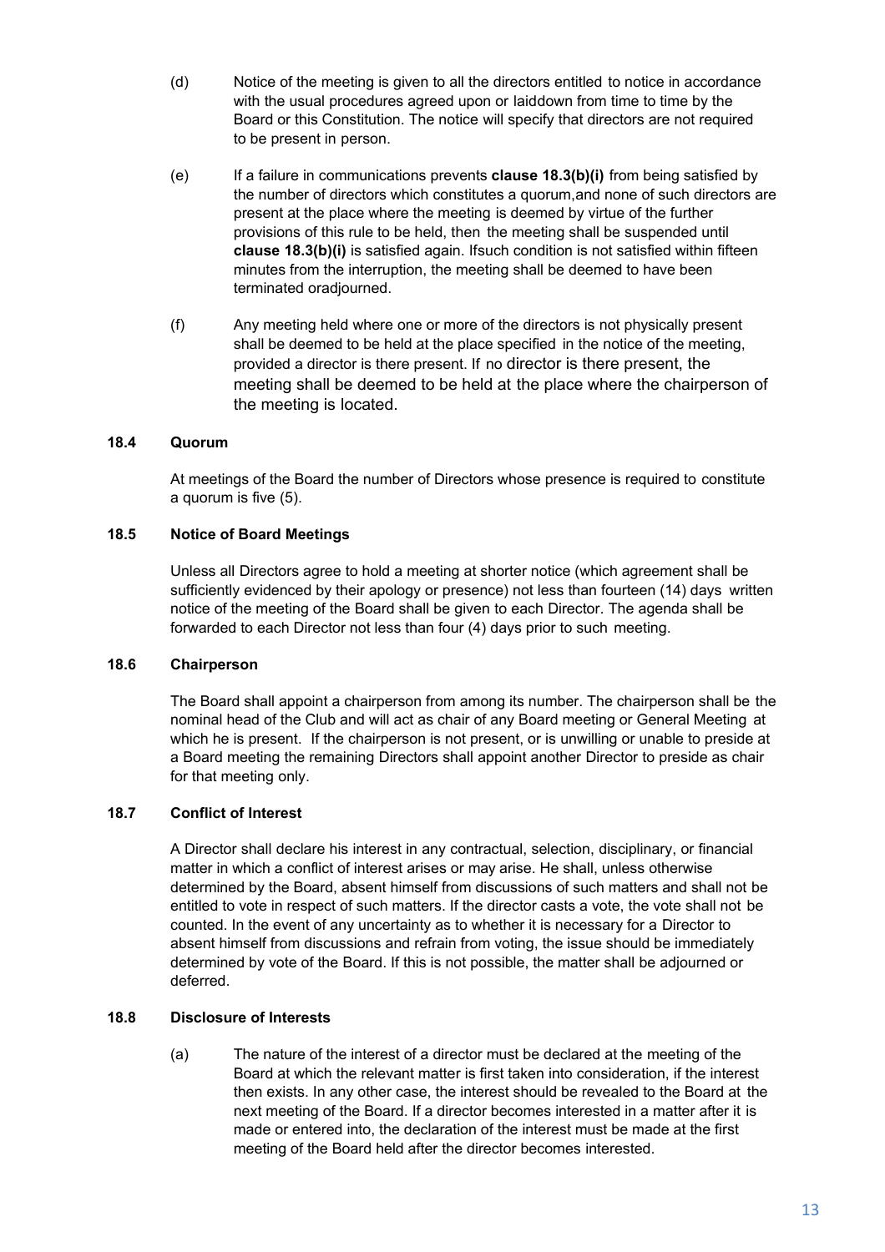- (d) Notice of the meeting is given to all the directors entitled to notice in accordance with the usual procedures agreed upon or laiddown from time to time by the Board or this Constitution. The notice will specify that directors are not required to be present in person.
- (e) If a failure in communications prevents **clause 18.3(b)(i)** from being satisfied by the number of directors which constitutes a quorum, and none of such directors are present at the place where the meeting is deemed by virtue of the further provisions of this rule to be held, then the meeting shall be suspended until **clause 18.3(b)(i)** is satisfied again. If such condition is not satisfied within fifteen minutes from the interruption, the meeting shall be deemed to have been terminated oradjourned.
- (f) Any meeting held where one or more of the directors is not physically present shall be deemed to be held at the place specified in the notice of the meeting, provided a director is there present. If no director is there present, the meeting shall be deemed to be held at the place where the chairperson of the meeting is located.

## **18.4 Quorum**

At meetings of the Board the number of Directors whose presence is required to constitute a quorum is five (5).

#### **18.5 Notice of Board Meetings**

Unless all Directors agree to hold a meeting at shorter notice (which agreement shall be sufficiently evidenced by their apology or presence) not less than fourteen (14) days written notice of the meeting of the Board shall be given to each Director. The agenda shall be forwarded to each Director not less than four (4) days prior to such meeting.

#### **18.6 Chairperson**

The Board shall appoint a chairperson from among its number. The chairperson shall be the nominal head of the Club and will act as chair of any Board meeting or General Meeting at which he is present. If the chairperson is not present, or is unwilling or unable to preside at a Board meeting the remaining Directors shall appoint another Director to preside as chair for that meeting only.

### **18.7 Conflict of Interest**

A Director shall declare his interest in any contractual, selection, disciplinary, or financial matter in which a conflict of interest arises or may arise. He shall, unless otherwise determined by the Board, absent himself from discussions of such matters and shall not be entitled to vote in respect of such matters. If the director casts a vote, the vote shall not be counted. In the event of any uncertainty as to whether it is necessary for a Director to absent himself from discussions and refrain from voting, the issue should be immediately determined by vote of the Board. If this is not possible, the matter shall be adjourned or deferred.

#### **18.8 Disclosure of Interests**

(a) The nature of the interest of a director must be declared at the meeting of the Board at which the relevant matter is first taken into consideration, if the interest then exists. In any other case, the interest should be revealed to the Board at the next meeting of the Board. If a director becomes interested in a matter after it is made or entered into, the declaration of the interest must be made at the first meeting of the Board held after the director becomes interested.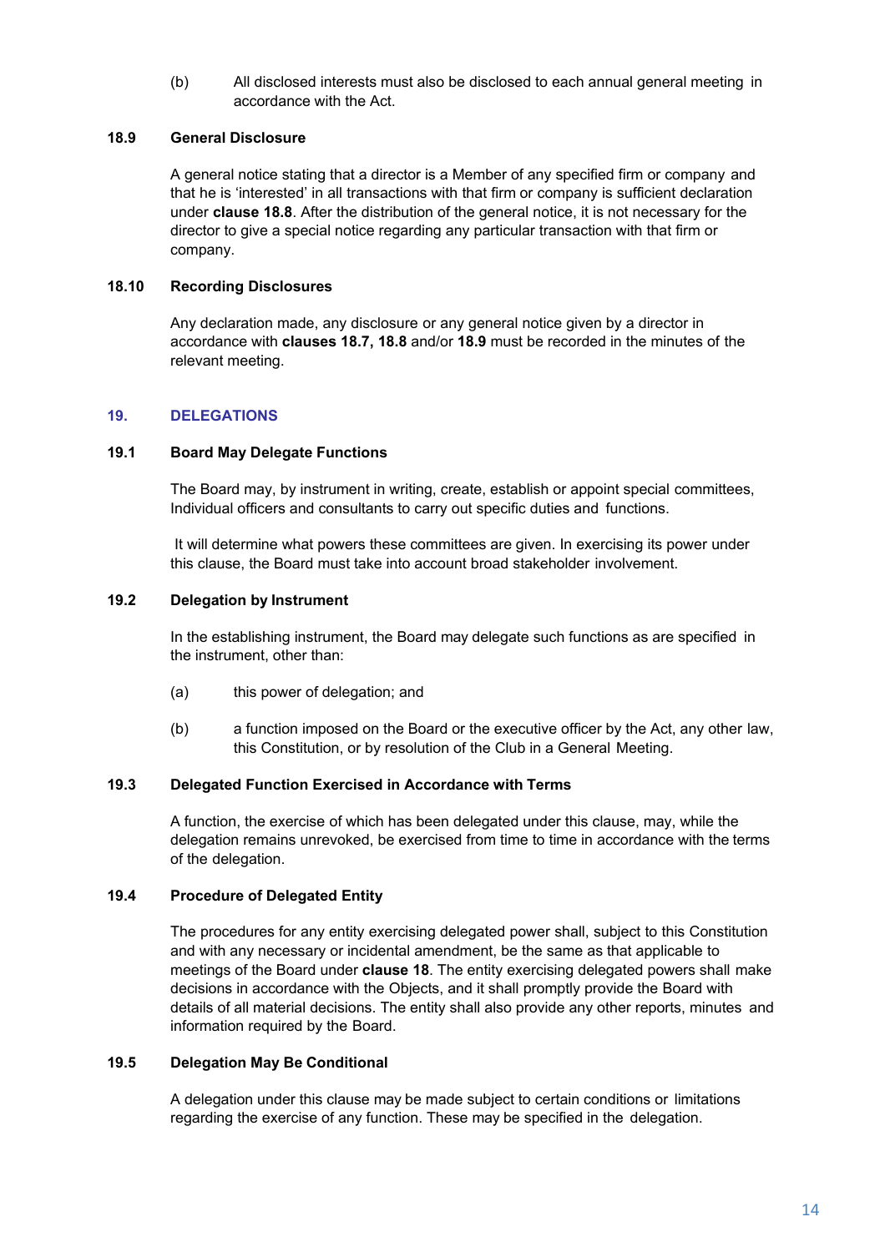(b) All disclosed interests must also be disclosed to each annual general meeting in accordance with the Act.

#### **18.9 General Disclosure**

A general notice stating that a director is a Member of any specified firm or company and that he is 'interested' in all transactions with that firm or company is sufficient declaration under **clause 18.8**. After the distribution of the general notice, it is not necessary for the director to give a special notice regarding any particular transaction with that firm or company.

## **18.10 Recording Disclosures**

Any declaration made, any disclosure or any general notice given by a director in accordance with **clauses 18.7, 18.8** and/or **18.9** must be recorded in the minutes of the relevant meeting.

## **19. DELEGATIONS**

#### **19.1 Board May Delegate Functions**

The Board may, by instrument in writing, create, establish or appoint special committees, Individual officers and consultants to carry out specific duties and functions.

It will determine what powers these committees are given. In exercising its power under this clause, the Board must take into account broad stakeholder involvement.

#### **19.2 Delegation by Instrument**

In the establishing instrument, the Board may delegate such functions as are specified in the instrument, other than:

- (a) this power of delegation; and
- (b) a function imposed on the Board or the executive officer by the Act, any other law, this Constitution, or by resolution of the Club in a General Meeting.

#### **19.3 Delegated Function Exercised in Accordance with Terms**

A function, the exercise of which has been delegated under this clause, may, while the delegation remains unrevoked, be exercised from time to time in accordance with the terms of the delegation.

## **19.4 Procedure of Delegated Entity**

The procedures for any entity exercising delegated power shall, subject to this Constitution and with any necessary or incidental amendment, be the same as that applicable to meetings of the Board under **clause 18**. The entity exercising delegated powers shall make decisions in accordance with the Objects, and it shall promptly provide the Board with details of all material decisions. The entity shall also provide any other reports, minutes and information required by the Board.

#### **19.5 Delegation May Be Conditional**

A delegation under this clause may be made subject to certain conditions or limitations regarding the exercise of any function. These may be specified in the delegation.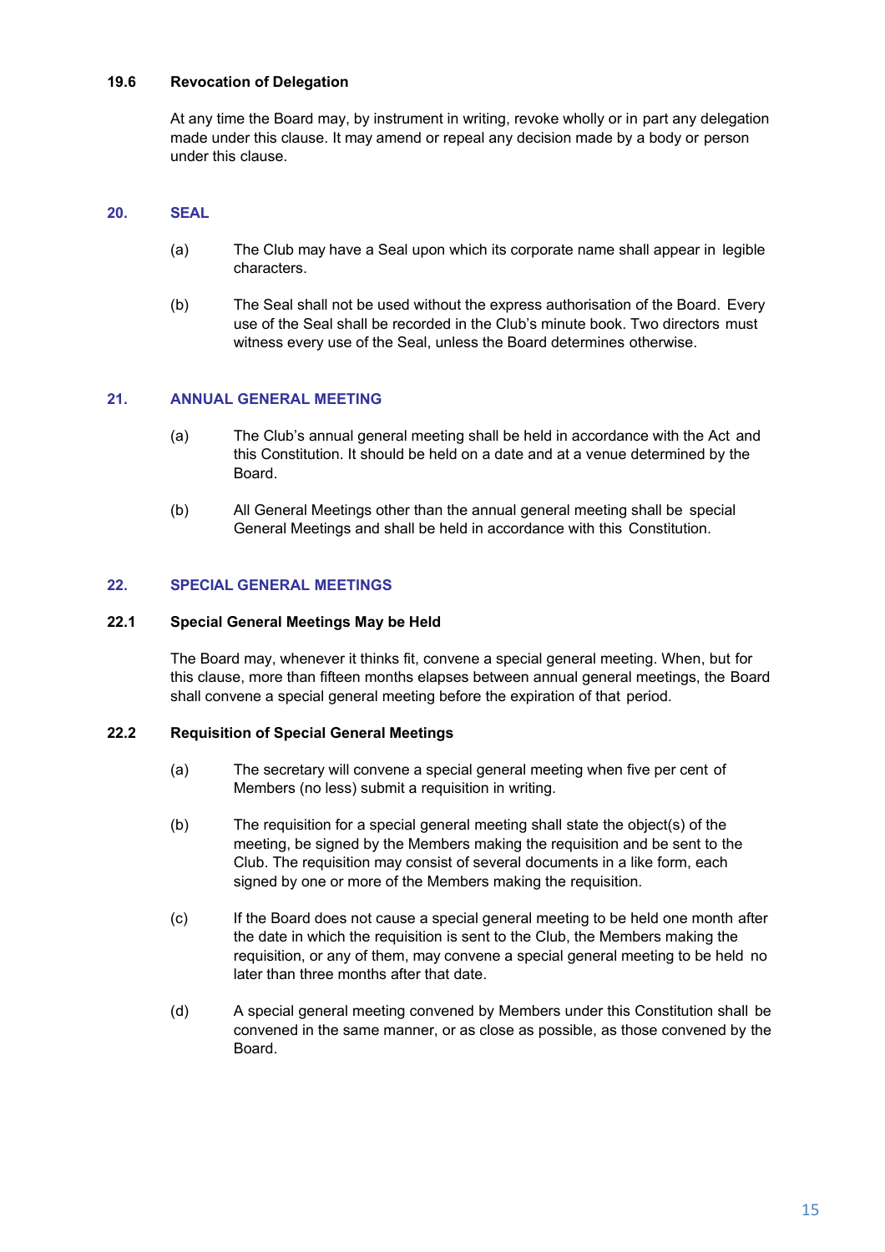## **19.6 Revocation of Delegation**

At any time the Board may, by instrument in writing, revoke wholly or in part any delegation made under this clause. It may amend or repeal any decision made by a body or person under this clause.

## **20. SEAL**

- (a) The Club may have a Seal upon which its corporate name shall appear in legible characters.
- (b) The Seal shall not be used without the express authorisation of the Board. Every use of the Seal shall be recorded in the Club's minute book. Two directors must witness every use of the Seal, unless the Board determines otherwise.

## **21. ANNUAL GENERAL MEETING**

- (a) The Club's annual general meeting shall be held in accordance with the Act and this Constitution. It should be held on a date and at a venue determined by the Board.
- (b) All General Meetings other than the annual general meeting shall be special General Meetings and shall be held in accordance with this Constitution.

## **22. SPECIAL GENERAL MEETINGS**

#### **22.1 Special General Meetings May be Held**

The Board may, whenever it thinks fit, convene a special general meeting. When, but for this clause, more than fifteen months elapses between annual general meetings, the Board shall convene a special general meeting before the expiration of that period.

## **22.2 Requisition of Special General Meetings**

- (a) The secretary will convene a special general meeting when five per cent of Members (no less) submit a requisition in writing.
- (b) The requisition for a special general meeting shall state the object(s) of the meeting, be signed by the Members making the requisition and be sent to the Club. The requisition may consist of several documents in a like form, each signed by one or more of the Members making the requisition.
- (c) If the Board does not cause a special general meeting to be held one month after the date in which the requisition is sent to the Club, the Members making the requisition, or any of them, may convene a special general meeting to be held no later than three months after that date.
- (d) A special general meeting convened by Members under this Constitution shall be convened in the same manner, or as close as possible, as those convened by the Board.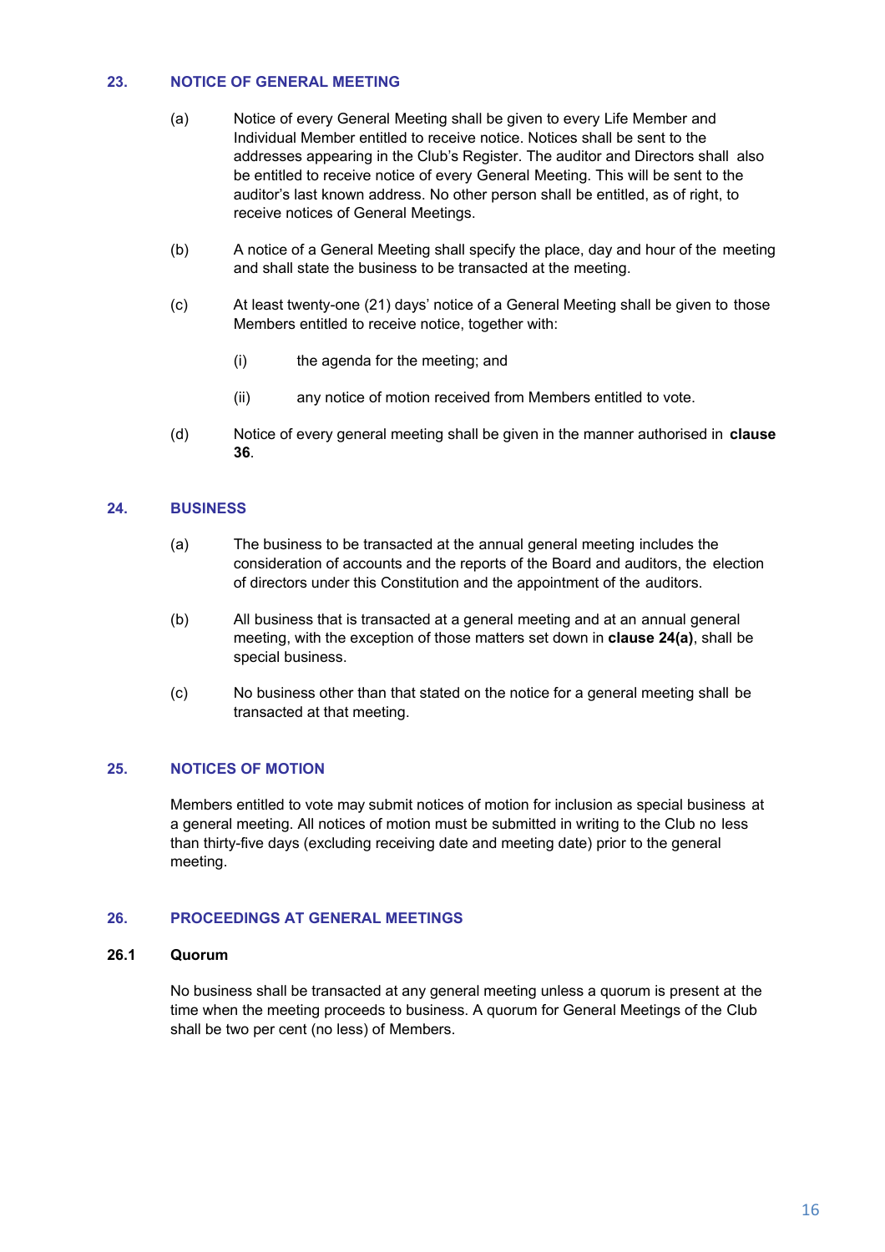## **23. NOTICE OF GENERAL MEETING**

- (a) Notice of every General Meeting shall be given to every Life Member and Individual Member entitled to receive notice. Notices shall be sent to the addresses appearing in the Club's Register. The auditor and Directors shall also be entitled to receive notice of every General Meeting. This will be sent to the auditor's last known address. No other person shall be entitled, as of right, to receive notices of General Meetings.
- (b) A notice of a General Meeting shall specify the place, day and hour of the meeting and shall state the business to be transacted at the meeting.
- (c) At least twenty-one (21) days' notice of a General Meeting shall be given to those Members entitled to receive notice, together with:
	- (i) the agenda for the meeting; and
	- (ii) any notice of motion received from Members entitled to vote.
- (d) Notice of every general meeting shall be given in the manner authorised in **clause 36**.

#### **24. BUSINESS**

- (a) The business to be transacted at the annual general meeting includes the consideration of accounts and the reports of the Board and auditors, the election of directors under this Constitution and the appointment of the auditors.
- (b) All business that is transacted at a general meeting and at an annual general meeting, with the exception of those matters set down in **clause 24(a)**, shall be special business.
- (c) No business other than that stated on the notice for a general meeting shall be transacted at that meeting.

#### **25. NOTICES OF MOTION**

Members entitled to vote may submit notices of motion for inclusion as special business at a general meeting. All notices of motion must be submitted in writing to the Club no less than thirty-five days (excluding receiving date and meeting date) prior to the general meeting.

#### **26. PROCEEDINGS AT GENERAL MEETINGS**

## **26.1 Quorum**

No business shall be transacted at any general meeting unless a quorum is present at the time when the meeting proceeds to business. A quorum for General Meetings of the Club shall be two per cent (no less) of Members.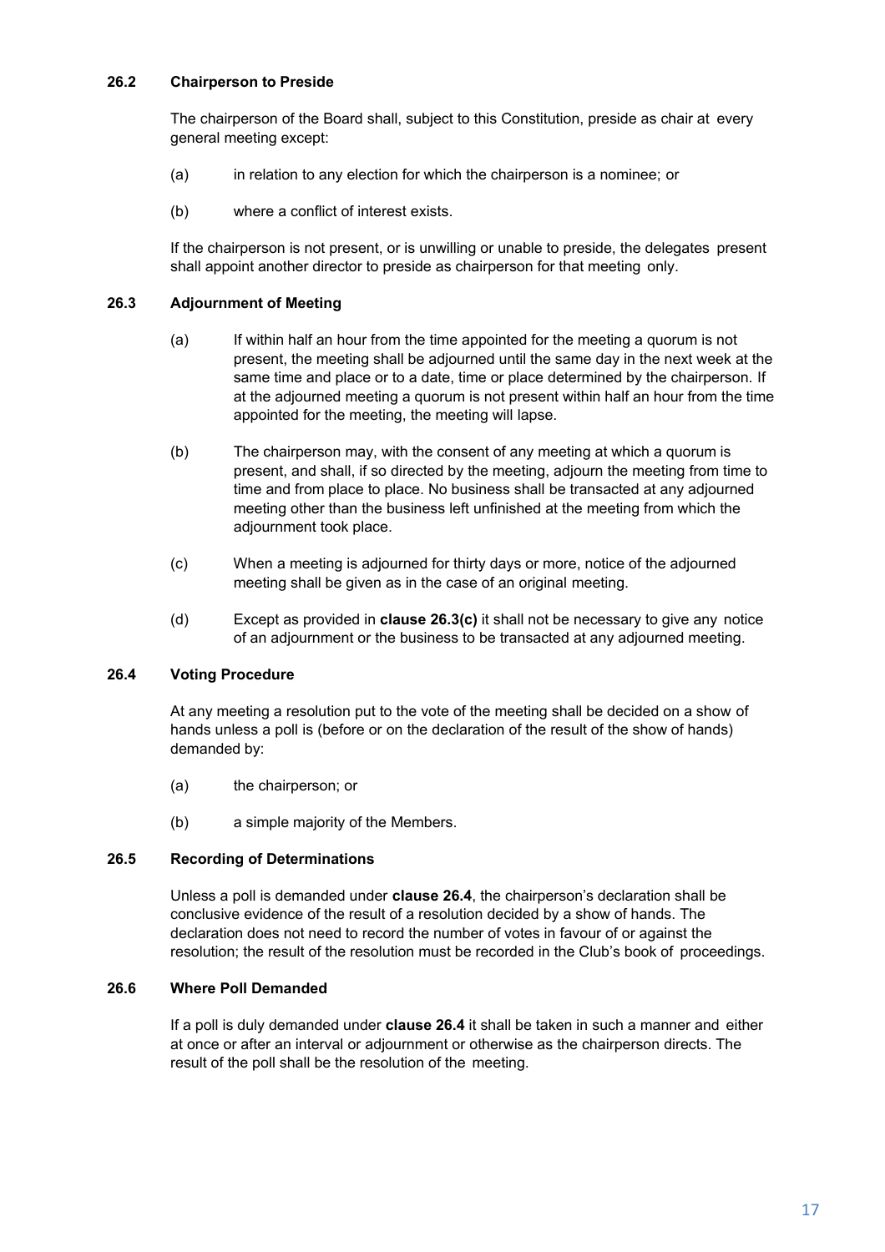## **26.2 Chairperson to Preside**

The chairperson of the Board shall, subject to this Constitution, preside as chair at every general meeting except:

- (a) in relation to any election for which the chairperson is a nominee; or
- (b) where a conflict of interest exists.

If the chairperson is not present, or is unwilling or unable to preside, the delegates present shall appoint another director to preside as chairperson for that meeting only.

## **26.3 Adjournment of Meeting**

- (a) If within half an hour from the time appointed for the meeting a quorum is not present, the meeting shall be adjourned until the same day in the next week at the same time and place or to a date, time or place determined by the chairperson. If at the adjourned meeting a quorum is not present within half an hour from the time appointed for the meeting, the meeting will lapse.
- (b) The chairperson may, with the consent of any meeting at which a quorum is present, and shall, if so directed by the meeting, adjourn the meeting from time to time and from place to place. No business shall be transacted at any adjourned meeting other than the business left unfinished at the meeting from which the adjournment took place.
- (c) When a meeting is adjourned for thirty days or more, notice of the adjourned meeting shall be given as in the case of an original meeting.
- (d) Except as provided in **clause 26.3(c)** it shall not be necessary to give any notice of an adjournment or the business to be transacted at any adjourned meeting.

#### **26.4 Voting Procedure**

At any meeting a resolution put to the vote of the meeting shall be decided on a show of hands unless a poll is (before or on the declaration of the result of the show of hands) demanded by:

- (a) the chairperson; or
- (b) a simple majority of the Members.

#### **26.5 Recording of Determinations**

Unless a poll is demanded under **clause 26.4**, the chairperson's declaration shall be conclusive evidence of the result of a resolution decided by a show of hands. The declaration does not need to record the number of votes in favour of or against the resolution; the result of the resolution must be recorded in the Club's book of proceedings.

#### **26.6 Where Poll Demanded**

If a poll is duly demanded under **clause 26.4** it shall be taken in such a manner and either at once or after an interval or adjournment or otherwise as the chairperson directs. The result of the poll shall be the resolution of the meeting.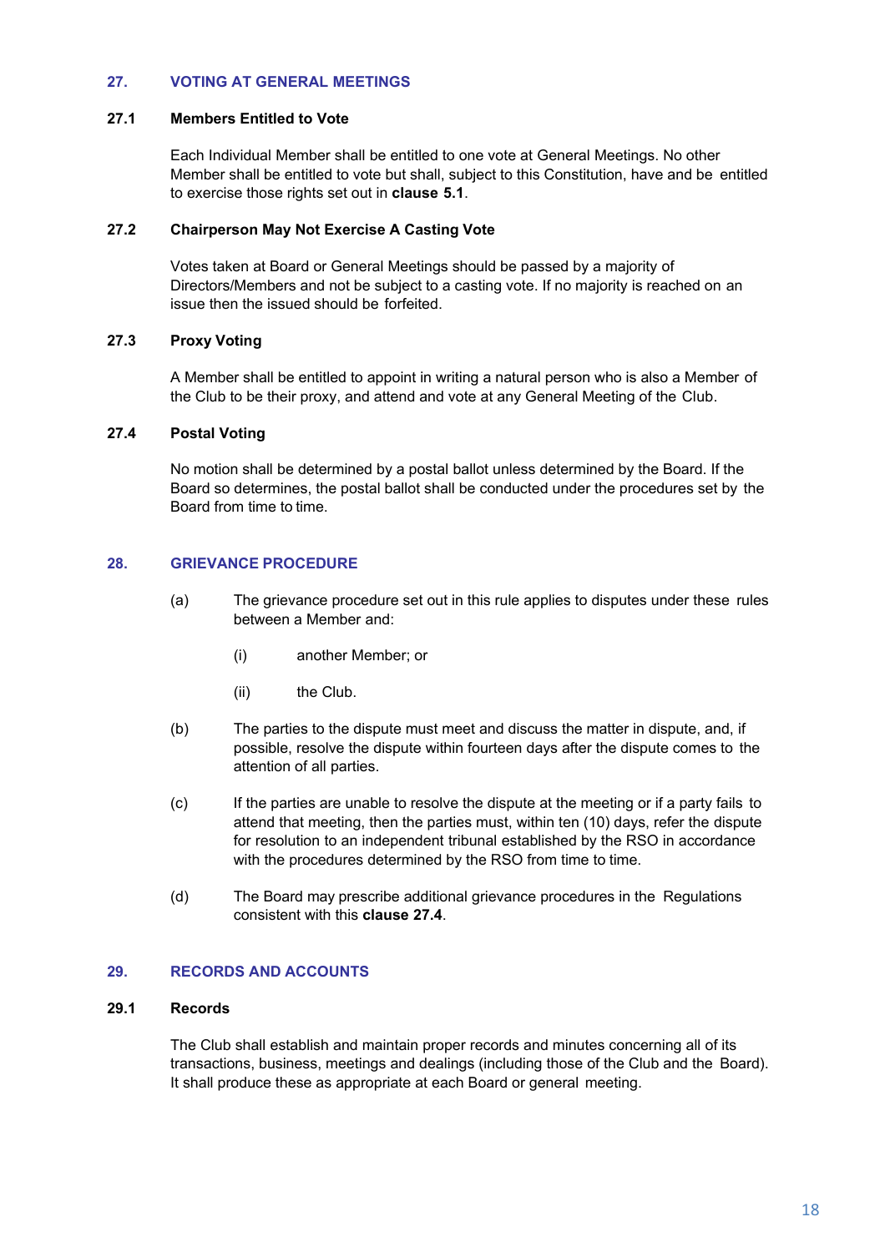## **27. VOTING AT GENERAL MEETINGS**

#### **27.1 Members Entitled to Vote**

Each Individual Member shall be entitled to one vote at General Meetings. No other Member shall be entitled to vote but shall, subject to this Constitution, have and be entitled to exercise those rights set out in **clause 5.1**.

#### **27.2 Chairperson May Not Exercise A Casting Vote**

Votes taken at Board or General Meetings should be passed by a majority of Directors/Members and not be subject to a casting vote. If no majority is reached on an issue then the issued should be forfeited.

## **27.3 Proxy Voting**

A Member shall be entitled to appoint in writing a natural person who is also a Member of the Club to be their proxy, and attend and vote at any General Meeting of the Club.

## **27.4 Postal Voting**

No motion shall be determined by a postal ballot unless determined by the Board. If the Board so determines, the postal ballot shall be conducted under the procedures set by the Board from time to time.

#### **28. GRIEVANCE PROCEDURE**

- (a) The grievance procedure set out in this rule applies to disputes under these rules between a Member and:
	- (i) another Member; or
	- (ii) the Club.
- (b) The parties to the dispute must meet and discuss the matter in dispute, and, if possible, resolve the dispute within fourteen days after the dispute comes to the attention of all parties.
- (c) If the parties are unable to resolve the dispute at the meeting or if a party fails to attend that meeting, then the parties must, within ten (10) days, refer the dispute for resolution to an independent tribunal established by the RSO in accordance with the procedures determined by the RSO from time to time.
- (d) The Board may prescribe additional grievance procedures in the Regulations consistent with this **clause 27.4**.

## **29. RECORDS AND ACCOUNTS**

#### **29.1 Records**

The Club shall establish and maintain proper records and minutes concerning all of its transactions, business, meetings and dealings (including those of the Club and the Board). It shall produce these as appropriate at each Board or general meeting.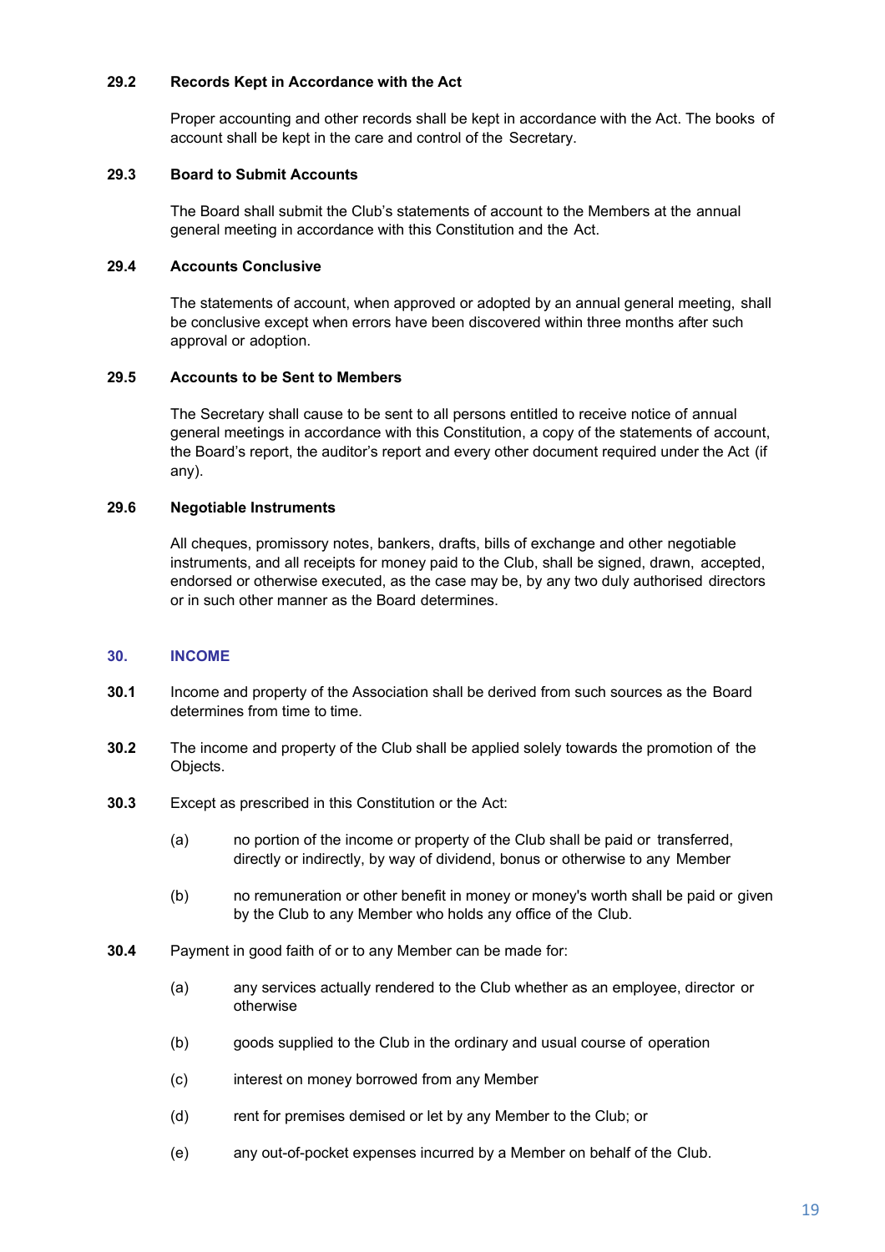## **29.2 Records Kept in Accordance with the Act**

Proper accounting and other records shall be kept in accordance with the Act. The books of account shall be kept in the care and control of the Secretary.

#### **29.3 Board to Submit Accounts**

The Board shall submit the Club's statements of account to the Members at the annual general meeting in accordance with this Constitution and the Act.

## **29.4 Accounts Conclusive**

The statements of account, when approved or adopted by an annual general meeting, shall be conclusive except when errors have been discovered within three months after such approval or adoption.

## **29.5 Accounts to be Sent to Members**

The Secretary shall cause to be sent to all persons entitled to receive notice of annual general meetings in accordance with this Constitution, a copy of the statements of account, the Board's report, the auditor's report and every other document required under the Act (if any).

## **29.6 Negotiable Instruments**

All cheques, promissory notes, bankers, drafts, bills of exchange and other negotiable instruments, and all receipts for money paid to the Club, shall be signed, drawn, accepted, endorsed or otherwise executed, as the case may be, by any two duly authorised directors or in such other manner as the Board determines.

#### **30. INCOME**

- **30.1** Income and property of the Association shall be derived from such sources as the Board determines from time to time.
- **30.2** The income and property of the Club shall be applied solely towards the promotion of the Objects.
- **30.3** Except as prescribed in this Constitution or the Act:
	- (a) no portion of the income or property of the Club shall be paid or transferred, directly or indirectly, by way of dividend, bonus or otherwise to any Member
	- (b) no remuneration or other benefit in money or money's worth shall be paid or given by the Club to any Member who holds any office of the Club.
- **30.4** Payment in good faith of or to any Member can be made for:
	- (a) any services actually rendered to the Club whether as an employee, director or otherwise
	- (b) goods supplied to the Club in the ordinary and usual course of operation
	- (c) interest on money borrowed from any Member
	- (d) rent for premises demised or let by any Member to the Club; or
	- (e) any out-of-pocket expenses incurred by a Member on behalf of the Club.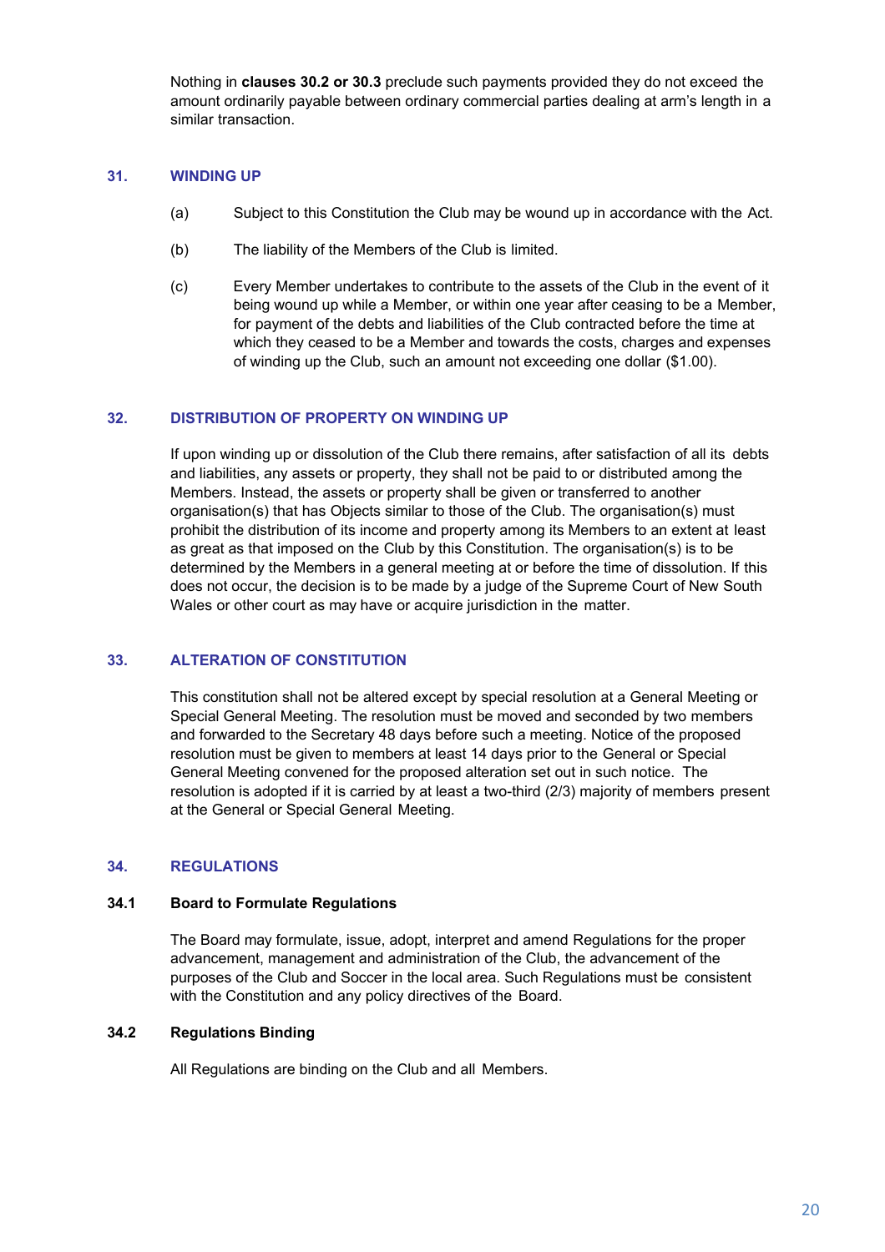Nothing in **clauses 30.2 or 30.3** preclude such payments provided they do not exceed the amount ordinarily payable between ordinary commercial parties dealing at arm's length in a similar transaction.

#### **31. WINDING UP**

- (a) Subject to this Constitution the Club may be wound up in accordance with the Act.
- (b) The liability of the Members of the Club is limited.
- (c) Every Member undertakes to contribute to the assets of the Club in the event of it being wound up while a Member, or within one year after ceasing to be a Member, for payment of the debts and liabilities of the Club contracted before the time at which they ceased to be a Member and towards the costs, charges and expenses of winding up the Club, such an amount not exceeding one dollar (\$1.00).

## **32. DISTRIBUTION OF PROPERTY ON WINDING UP**

If upon winding up or dissolution of the Club there remains, after satisfaction of all its debts and liabilities, any assets or property, they shall not be paid to or distributed among the Members. Instead, the assets or property shall be given or transferred to another organisation(s) that has Objects similar to those of the Club. The organisation(s) must prohibit the distribution of its income and property among its Members to an extent at least as great as that imposed on the Club by this Constitution. The organisation(s) is to be determined by the Members in a general meeting at or before the time of dissolution. If this does not occur, the decision is to be made by a judge of the Supreme Court of New South Wales or other court as may have or acquire jurisdiction in the matter.

#### **33. ALTERATION OF CONSTITUTION**

This constitution shall not be altered except by special resolution at a General Meeting or Special General Meeting. The resolution must be moved and seconded by two members and forwarded to the Secretary 48 days before such a meeting. Notice of the proposed resolution must be given to members at least 14 days prior to the General or Special General Meeting convened for the proposed alteration set out in such notice. The resolution is adopted if it is carried by at least a two-third (2/3) majority of members present at the General or Special General Meeting.

#### **34. REGULATIONS**

#### **34.1 Board to Formulate Regulations**

The Board may formulate, issue, adopt, interpret and amend Regulations for the proper advancement, management and administration of the Club, the advancement of the purposes of the Club and Soccer in the local area. Such Regulations must be consistent with the Constitution and any policy directives of the Board.

## **34.2 Regulations Binding**

All Regulations are binding on the Club and all Members.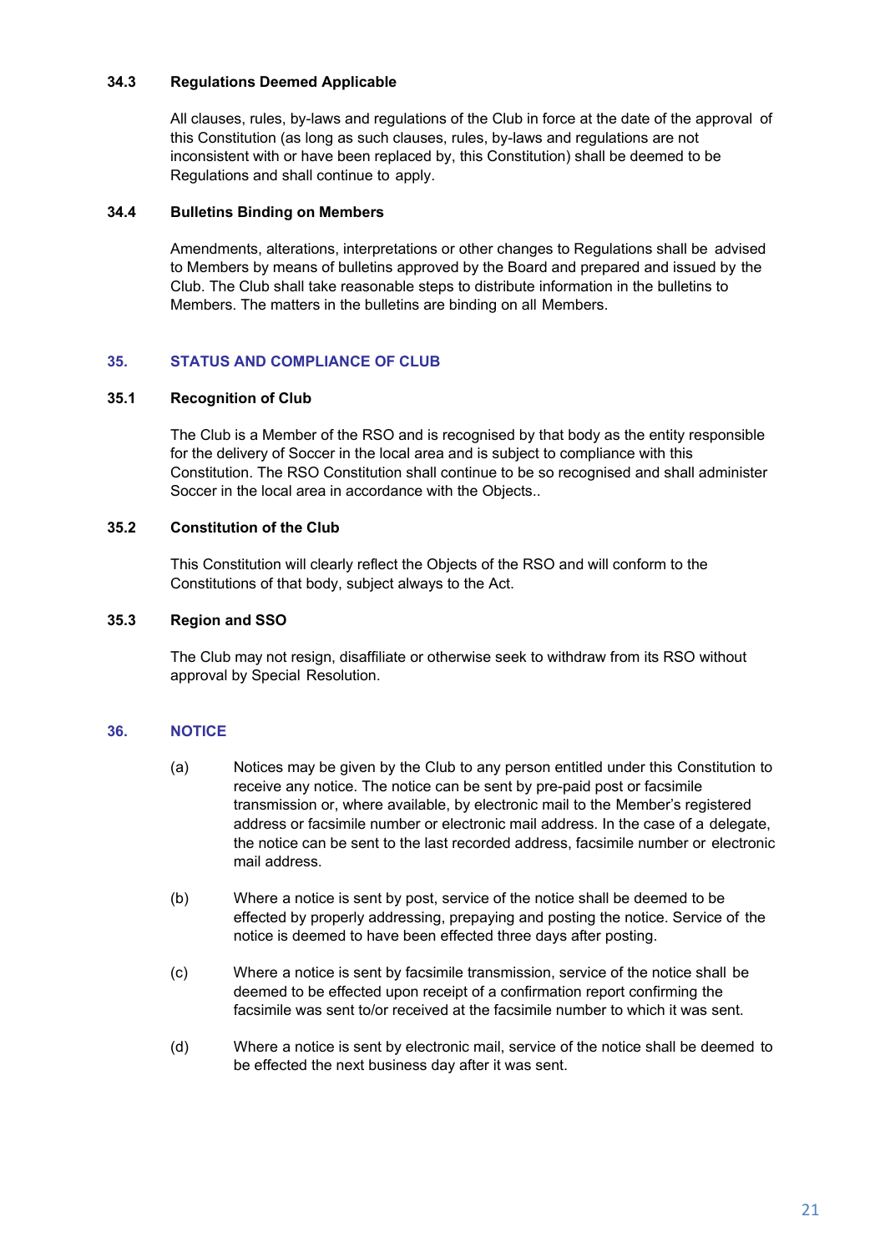## **34.3 Regulations Deemed Applicable**

All clauses, rules, by-laws and regulations of the Club in force at the date of the approval of this Constitution (as long as such clauses, rules, by-laws and regulations are not inconsistent with or have been replaced by, this Constitution) shall be deemed to be Regulations and shall continue to apply.

#### **34.4 Bulletins Binding on Members**

Amendments, alterations, interpretations or other changes to Regulations shall be advised to Members by means of bulletins approved by the Board and prepared and issued by the Club. The Club shall take reasonable steps to distribute information in the bulletins to Members. The matters in the bulletins are binding on all Members.

## **35. STATUS AND COMPLIANCE OF CLUB**

#### **35.1 Recognition of Club**

The Club is a Member of the RSO and is recognised by that body as the entity responsible for the delivery of Soccer in the local area and is subject to compliance with this Constitution. The RSO Constitution shall continue to be so recognised and shall administer Soccer in the local area in accordance with the Objects..

#### **35.2 Constitution of the Club**

This Constitution will clearly reflect the Objects of the RSO and will conform to the Constitutions of that body, subject always to the Act.

#### **35.3 Region and SSO**

The Club may not resign, disaffiliate or otherwise seek to withdraw from its RSO without approval by Special Resolution.

#### **36. NOTICE**

- (a) Notices may be given by the Club to any person entitled under this Constitution to receive any notice. The notice can be sent by pre-paid post or facsimile transmission or, where available, by electronic mail to the Member's registered address or facsimile number or electronic mail address. In the case of a delegate, the notice can be sent to the last recorded address, facsimile number or electronic mail address.
- (b) Where a notice is sent by post, service of the notice shall be deemed to be effected by properly addressing, prepaying and posting the notice. Service of the notice is deemed to have been effected three days after posting.
- (c) Where a notice is sent by facsimile transmission, service of the notice shall be deemed to be effected upon receipt of a confirmation report confirming the facsimile was sent to/or received at the facsimile number to which it was sent.
- (d) Where a notice is sent by electronic mail, service of the notice shall be deemed to be effected the next business day after it was sent.